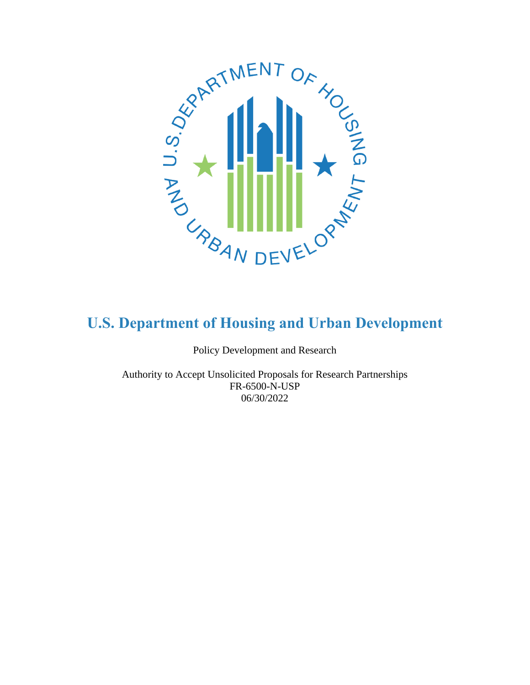

Policy Development and Research

<span id="page-0-0"></span>Authority to Accept Unsolicited Proposals for Research Partnerships FR-6500-N-USP 06/30/2022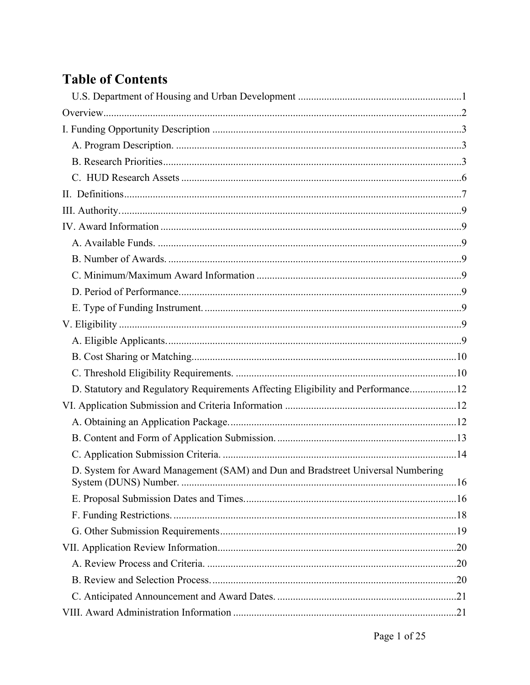# **Table of Contents**

| D. Statutory and Regulatory Requirements Affecting Eligibility and Performance12 |  |
|----------------------------------------------------------------------------------|--|
|                                                                                  |  |
|                                                                                  |  |
|                                                                                  |  |
|                                                                                  |  |
| D. System for Award Management (SAM) and Dun and Bradstreet Universal Numbering  |  |
|                                                                                  |  |
|                                                                                  |  |
|                                                                                  |  |
|                                                                                  |  |
|                                                                                  |  |
|                                                                                  |  |
|                                                                                  |  |
|                                                                                  |  |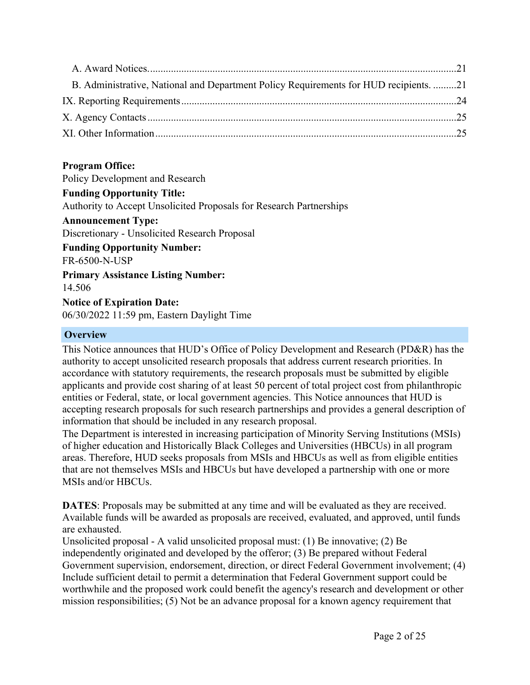| B. Administrative, National and Department Policy Requirements for HUD recipients. 21 |  |
|---------------------------------------------------------------------------------------|--|
|                                                                                       |  |
|                                                                                       |  |
|                                                                                       |  |

# **Program Office:**

Policy Development and Research

### **Funding Opportunity Title:**

Authority to Accept Unsolicited Proposals for Research Partnerships

#### **Announcement Type:**

Discretionary - Unsolicited Research Proposal

**Funding Opportunity Number:** FR-6500-N-USP

**Primary Assistance Listing Number:**

14.506

**Notice of Expiration Date:** 06/30/2022 11:59 pm, Eastern Daylight Time

#### <span id="page-2-0"></span>**Overview**

This Notice announces that HUD's Office of Policy Development and Research (PD&R) has the authority to accept unsolicited research proposals that address current research priorities. In accordance with statutory requirements, the research proposals must be submitted by eligible applicants and provide cost sharing of at least 50 percent of total project cost from philanthropic entities or Federal, state, or local government agencies. This Notice announces that HUD is accepting research proposals for such research partnerships and provides a general description of information that should be included in any research proposal.

The Department is interested in increasing participation of Minority Serving Institutions (MSIs) of higher education and Historically Black Colleges and Universities (HBCUs) in all program areas. Therefore, HUD seeks proposals from MSIs and HBCUs as well as from eligible entities that are not themselves MSIs and HBCUs but have developed a partnership with one or more MSIs and/or HBCUs.

**DATES**: Proposals may be submitted at any time and will be evaluated as they are received. Available funds will be awarded as proposals are received, evaluated, and approved, until funds are exhausted.

Unsolicited proposal - A valid unsolicited proposal must: (1) Be innovative; (2) Be independently originated and developed by the offeror; (3) Be prepared without Federal Government supervision, endorsement, direction, or direct Federal Government involvement; (4) Include sufficient detail to permit a determination that Federal Government support could be worthwhile and the proposed work could benefit the agency's research and development or other mission responsibilities; (5) Not be an advance proposal for a known agency requirement that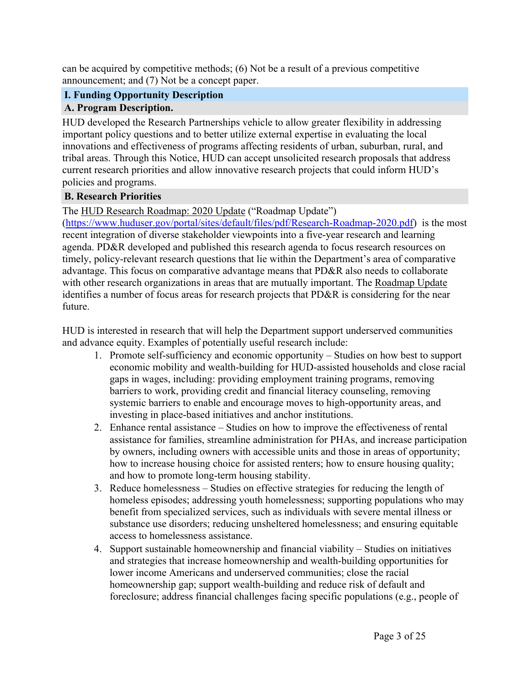can be acquired by competitive methods; (6) Not be a result of a previous competitive announcement; and (7) Not be a concept paper.

# <span id="page-3-0"></span>**I. Funding Opportunity Description**

# <span id="page-3-1"></span>**A. Program Description.**

HUD developed the Research Partnerships vehicle to allow greater flexibility in addressing important policy questions and to better utilize external expertise in evaluating the local innovations and effectiveness of programs affecting residents of urban, suburban, rural, and tribal areas. Through this Notice, HUD can accept unsolicited research proposals that address current research priorities and allow innovative research projects that could inform HUD's policies and programs.

### <span id="page-3-2"></span>**B. Research Priorities**

The HUD Research Roadmap: 2020 Update ("Roadmap Update")

([https://www.huduser.gov/portal/sites/default/files/pdf/Research-Roadmap-2020.pdf\)](https://www.huduser.gov/portal/sites/default/files/pdf/Research-Roadmap-2020.pdf) is the most recent integration of diverse stakeholder viewpoints into a five-year research and learning agenda. PD&R developed and published this research agenda to focus research resources on timely, policy-relevant research questions that lie within the Department's area of comparative advantage. This focus on comparative advantage means that PD&R also needs to collaborate with other research organizations in areas that are mutually important. The Roadmap Update identifies a number of focus areas for research projects that PD&R is considering for the near future.

HUD is interested in research that will help the Department support underserved communities and advance equity. Examples of potentially useful research include:

- 1. Promote self-sufficiency and economic opportunity Studies on how best to support economic mobility and wealth-building for HUD-assisted households and close racial gaps in wages, including: providing employment training programs, removing barriers to work, providing credit and financial literacy counseling, removing systemic barriers to enable and encourage moves to high-opportunity areas, and investing in place-based initiatives and anchor institutions.
- 2. Enhance rental assistance Studies on how to improve the effectiveness of rental assistance for families, streamline administration for PHAs, and increase participation by owners, including owners with accessible units and those in areas of opportunity; how to increase housing choice for assisted renters; how to ensure housing quality; and how to promote long-term housing stability.
- 3. Reduce homelessness Studies on effective strategies for reducing the length of homeless episodes; addressing youth homelessness; supporting populations who may benefit from specialized services, such as individuals with severe mental illness or substance use disorders; reducing unsheltered homelessness; and ensuring equitable access to homelessness assistance.
- 4. Support sustainable homeownership and financial viability Studies on initiatives and strategies that increase homeownership and wealth-building opportunities for lower income Americans and underserved communities; close the racial homeownership gap; support wealth-building and reduce risk of default and foreclosure; address financial challenges facing specific populations (e.g., people of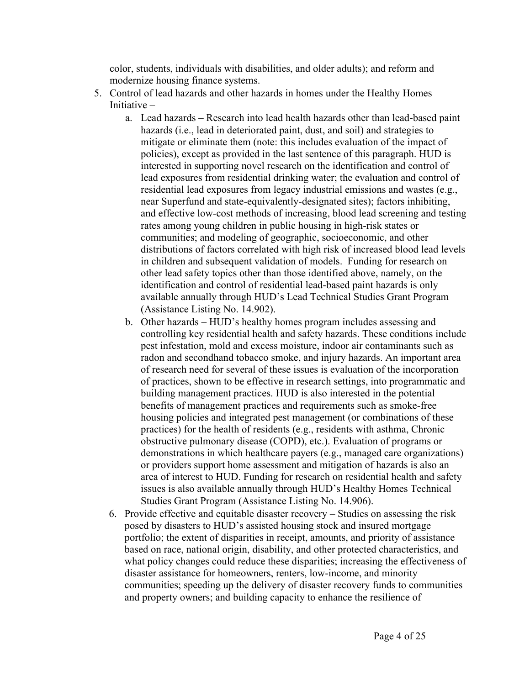color, students, individuals with disabilities, and older adults); and reform and modernize housing finance systems.

- 5. Control of lead hazards and other hazards in homes under the Healthy Homes Initiative –
	- a. Lead hazards Research into lead health hazards other than lead-based paint hazards (i.e., lead in deteriorated paint, dust, and soil) and strategies to mitigate or eliminate them (note: this includes evaluation of the impact of policies), except as provided in the last sentence of this paragraph. HUD is interested in supporting novel research on the identification and control of lead exposures from residential drinking water; the evaluation and control of residential lead exposures from legacy industrial emissions and wastes (e.g., near Superfund and state-equivalently-designated sites); factors inhibiting, and effective low-cost methods of increasing, blood lead screening and testing rates among young children in public housing in high-risk states or communities; and modeling of geographic, socioeconomic, and other distributions of factors correlated with high risk of increased blood lead levels in children and subsequent validation of models. Funding for research on other lead safety topics other than those identified above, namely, on the identification and control of residential lead-based paint hazards is only available annually through HUD's Lead Technical Studies Grant Program (Assistance Listing No. 14.902).
	- b. Other hazards HUD's healthy homes program includes assessing and controlling key residential health and safety hazards. These conditions include pest infestation, mold and excess moisture, indoor air contaminants such as radon and secondhand tobacco smoke, and injury hazards. An important area of research need for several of these issues is evaluation of the incorporation of practices, shown to be effective in research settings, into programmatic and building management practices. HUD is also interested in the potential benefits of management practices and requirements such as smoke-free housing policies and integrated pest management (or combinations of these practices) for the health of residents (e.g., residents with asthma, Chronic obstructive pulmonary disease (COPD), etc.). Evaluation of programs or demonstrations in which healthcare payers (e.g., managed care organizations) or providers support home assessment and mitigation of hazards is also an area of interest to HUD. Funding for research on residential health and safety issues is also available annually through HUD's Healthy Homes Technical Studies Grant Program (Assistance Listing No. 14.906).
	- 6. Provide effective and equitable disaster recovery Studies on assessing the risk posed by disasters to HUD's assisted housing stock and insured mortgage portfolio; the extent of disparities in receipt, amounts, and priority of assistance based on race, national origin, disability, and other protected characteristics, and what policy changes could reduce these disparities; increasing the effectiveness of disaster assistance for homeowners, renters, low-income, and minority communities; speeding up the delivery of disaster recovery funds to communities and property owners; and building capacity to enhance the resilience of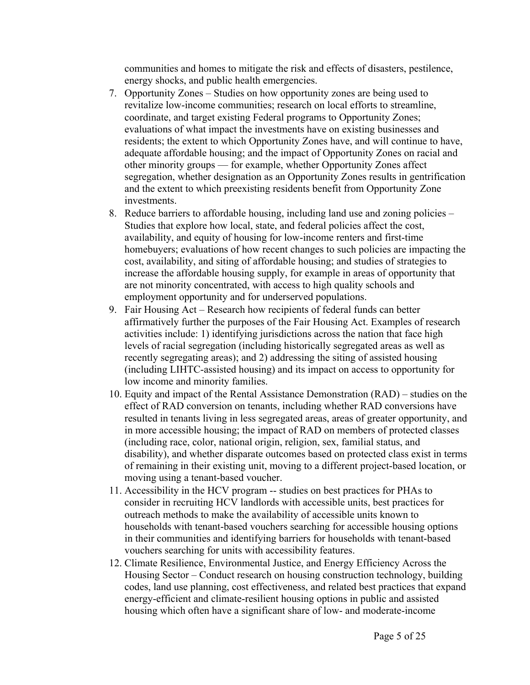communities and homes to mitigate the risk and effects of disasters, pestilence, energy shocks, and public health emergencies.

- 7. Opportunity Zones Studies on how opportunity zones are being used to revitalize low-income communities; research on local efforts to streamline, coordinate, and target existing Federal programs to Opportunity Zones; evaluations of what impact the investments have on existing businesses and residents; the extent to which Opportunity Zones have, and will continue to have, adequate affordable housing; and the impact of Opportunity Zones on racial and other minority groups — for example, whether Opportunity Zones affect segregation, whether designation as an Opportunity Zones results in gentrification and the extent to which preexisting residents benefit from Opportunity Zone investments.
- 8. Reduce barriers to affordable housing, including land use and zoning policies Studies that explore how local, state, and federal policies affect the cost, availability, and equity of housing for low-income renters and first-time homebuyers; evaluations of how recent changes to such policies are impacting the cost, availability, and siting of affordable housing; and studies of strategies to increase the affordable housing supply, for example in areas of opportunity that are not minority concentrated, with access to high quality schools and employment opportunity and for underserved populations.
- 9. Fair Housing Act Research how recipients of federal funds can better affirmatively further the purposes of the Fair Housing Act. Examples of research activities include: 1) identifying jurisdictions across the nation that face high levels of racial segregation (including historically segregated areas as well as recently segregating areas); and 2) addressing the siting of assisted housing (including LIHTC-assisted housing) and its impact on access to opportunity for low income and minority families.
- 10. Equity and impact of the Rental Assistance Demonstration (RAD) studies on the effect of RAD conversion on tenants, including whether RAD conversions have resulted in tenants living in less segregated areas, areas of greater opportunity, and in more accessible housing; the impact of RAD on members of protected classes (including race, color, national origin, religion, sex, familial status, and disability), and whether disparate outcomes based on protected class exist in terms of remaining in their existing unit, moving to a different project-based location, or moving using a tenant-based voucher.
- 11. Accessibility in the HCV program -- studies on best practices for PHAs to consider in recruiting HCV landlords with accessible units, best practices for outreach methods to make the availability of accessible units known to households with tenant-based vouchers searching for accessible housing options in their communities and identifying barriers for households with tenant-based vouchers searching for units with accessibility features.
- 12. Climate Resilience, Environmental Justice, and Energy Efficiency Across the Housing Sector – Conduct research on housing construction technology, building codes, land use planning, cost effectiveness, and related best practices that expand energy-efficient and climate-resilient housing options in public and assisted housing which often have a significant share of low- and moderate-income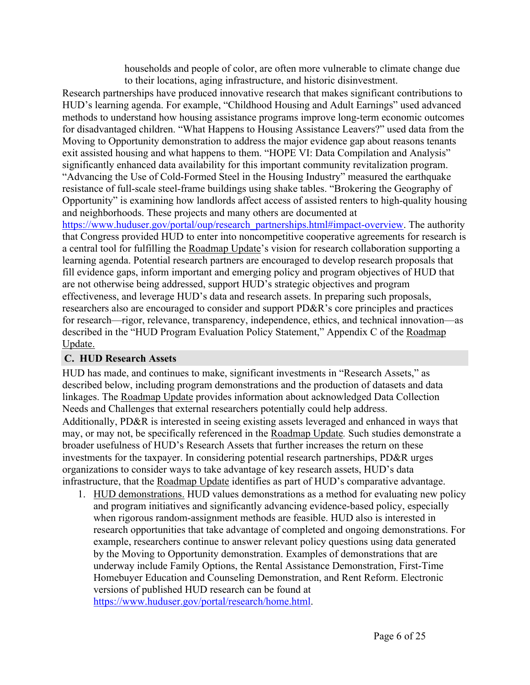households and people of color, are often more vulnerable to climate change due to their locations, aging infrastructure, and historic disinvestment.

Research partnerships have produced innovative research that makes significant contributions to HUD's learning agenda. For example, "Childhood Housing and Adult Earnings" used advanced methods to understand how housing assistance programs improve long-term economic outcomes for disadvantaged children. "What Happens to Housing Assistance Leavers?" used data from the Moving to Opportunity demonstration to address the major evidence gap about reasons tenants exit assisted housing and what happens to them. "HOPE VI: Data Compilation and Analysis" significantly enhanced data availability for this important community revitalization program. "Advancing the Use of Cold-Formed Steel in the Housing Industry" measured the earthquake resistance of full-scale steel-frame buildings using shake tables. "Brokering the Geography of Opportunity" is examining how landlords affect access of assisted renters to high-quality housing and neighborhoods. These projects and many others are documented at

[https://www.huduser.gov/portal/oup/research\\_partnerships.html#impact-overview](https://www.huduser.gov/portal/oup/research_partnerships.html#impact-overview). The authority that Congress provided HUD to enter into noncompetitive cooperative agreements for research is a central tool for fulfilling the Roadmap Update's vision for research collaboration supporting a learning agenda. Potential research partners are encouraged to develop research proposals that fill evidence gaps, inform important and emerging policy and program objectives of HUD that are not otherwise being addressed, support HUD's strategic objectives and program effectiveness, and leverage HUD's data and research assets. In preparing such proposals, researchers also are encouraged to consider and support PD&R's core principles and practices for research—rigor, relevance, transparency, independence, ethics, and technical innovation—as described in the "HUD Program Evaluation Policy Statement," Appendix C of the Roadmap Update.

#### <span id="page-6-0"></span>**C. HUD Research Assets**

HUD has made, and continues to make, significant investments in "Research Assets," as described below, including program demonstrations and the production of datasets and data linkages. The Roadmap Update provides information about acknowledged Data Collection Needs and Challenges that external researchers potentially could help address. Additionally, PD&R is interested in seeing existing assets leveraged and enhanced in ways that may, or may not, be specifically referenced in the Roadmap Update*.* Such studies demonstrate a broader usefulness of HUD's Research Assets that further increases the return on these investments for the taxpayer. In considering potential research partnerships, PD&R urges organizations to consider ways to take advantage of key research assets, HUD's data infrastructure, that the Roadmap Update identifies as part of HUD's comparative advantage.

1. HUD demonstrations. HUD values demonstrations as a method for evaluating new policy and program initiatives and significantly advancing evidence-based policy, especially when rigorous random-assignment methods are feasible. HUD also is interested in research opportunities that take advantage of completed and ongoing demonstrations. For example, researchers continue to answer relevant policy questions using data generated by the Moving to Opportunity demonstration. Examples of demonstrations that are underway include Family Options, the Rental Assistance Demonstration, First-Time Homebuyer Education and Counseling Demonstration, and Rent Reform. Electronic versions of published HUD research can be found at [https://www.huduser.gov/portal/research/home.html.](https://www.huduser.gov/portal/research/home.html)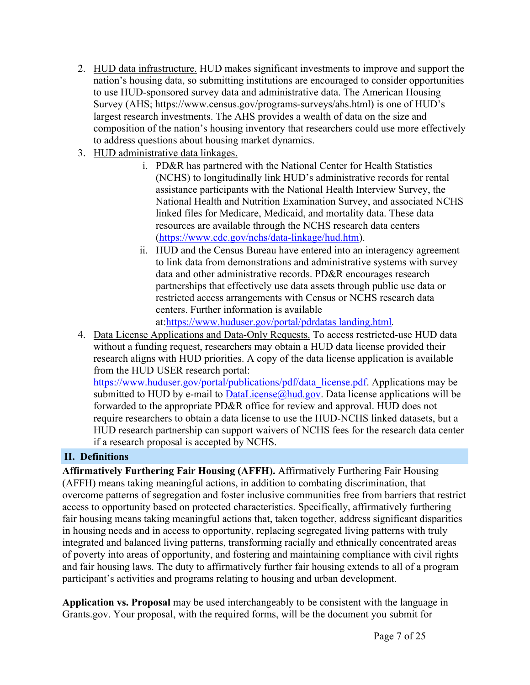- 2. HUD data infrastructure. HUD makes significant investments to improve and support the nation's housing data, so submitting institutions are encouraged to consider opportunities to use HUD-sponsored survey data and administrative data. The American Housing Survey (AHS; https://www.census.gov/programs-surveys/ahs.html) is one of HUD's largest research investments. The AHS provides a wealth of data on the size and composition of the nation's housing inventory that researchers could use more effectively to address questions about housing market dynamics.
- 3. HUD administrative data linkages.
	- i. PD&R has partnered with the National Center for Health Statistics (NCHS) to longitudinally link HUD's administrative records for rental assistance participants with the National Health Interview Survey, the National Health and Nutrition Examination Survey, and associated NCHS linked files for Medicare, Medicaid, and mortality data. These data resources are available through the NCHS research data centers ([https://www.cdc.gov/nchs/data-linkage/hud.htm\)](https://www.cdc.gov/nchs/data-linkage/hud.htm).
	- ii. HUD and the Census Bureau have entered into an interagency agreement to link data from demonstrations and administrative systems with survey data and other administrative records. PD&R encourages research partnerships that effectively use data assets through public use data or restricted access arrangements with Census or NCHS research data centers. Further information is available

at:[https://www.huduser.gov/portal/pdrdatas](https://www.huduser.gov/portal/pdrdatas_landing.html) landing.html*.*

4. Data License Applications and Data-Only Requests. To access restricted-use HUD data without a funding request, researchers may obtain a HUD data license provided their research aligns with HUD priorities. A copy of the data license application is available from the HUD USER research portal:

[https://www.huduser.gov/portal/publications/pdf/data\\_license.pdf.](https://www.huduser.gov/portal/publications/pdf/data_license.pdf) Applications may be submitted to HUD by e-mail to  $DataLicense@hud.gov$ . Data license applications will be forwarded to the appropriate PD&R office for review and approval. HUD does not require researchers to obtain a data license to use the HUD-NCHS linked datasets, but a HUD research partnership can support waivers of NCHS fees for the research data center if a research proposal is accepted by NCHS.

# <span id="page-7-0"></span>**II. Definitions**

**Affirmatively Furthering Fair Housing (AFFH).** Affirmatively Furthering Fair Housing (AFFH) means taking meaningful actions, in addition to combating discrimination, that overcome patterns of segregation and foster inclusive communities free from barriers that restrict access to opportunity based on protected characteristics. Specifically, affirmatively furthering fair housing means taking meaningful actions that, taken together, address significant disparities in housing needs and in access to opportunity, replacing segregated living patterns with truly integrated and balanced living patterns, transforming racially and ethnically concentrated areas of poverty into areas of opportunity, and fostering and maintaining compliance with civil rights and fair housing laws. The duty to affirmatively further fair housing extends to all of a program participant's activities and programs relating to housing and urban development.

**Application vs. Proposal** may be used interchangeably to be consistent with the language in Grants.gov. Your proposal, with the required forms, will be the document you submit for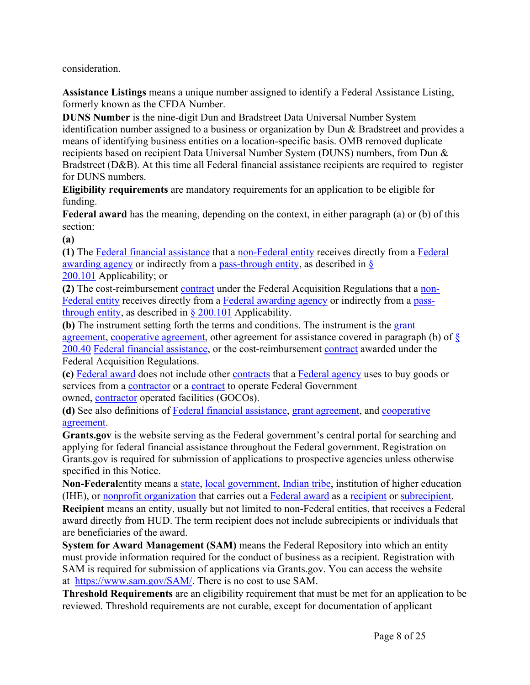consideration.

**Assistance Listings** means a unique number assigned to identify a Federal Assistance Listing, formerly known as the CFDA Number.

**DUNS Number** is the nine-digit Dun and Bradstreet Data Universal Number System identification number assigned to a business or organization by Dun & Bradstreet and provides a means of identifying business entities on a location-specific basis. OMB removed duplicate recipients based on recipient Data Universal Number System (DUNS) numbers, from Dun & Bradstreet (D&B). At this time all Federal financial assistance recipients are required to register for DUNS numbers.

**Eligibility requirements** are mandatory requirements for an application to be eligible for funding.

**Federal award** has the meaning, depending on the context, in either paragraph (a) or (b) of this section:

**(a)**

**(1)** The Federal financial [assistance](https://www.law.cornell.edu/definitions/index.php?width=840&height=800&iframe=true&def_id=1ed8e9b22e5d27ac461784d8277d61b6&term_occur=999&term_src=Title:2:Subtitle:A:Chapter:II:Part:200:Subpart:A:Subjgrp:27:200.38) that a [non-Federal](https://www.law.cornell.edu/definitions/index.php?width=840&height=800&iframe=true&def_id=e70d4d5b3d21f635ea2aec391214bde6&term_occur=999&term_src=Title:2:Subtitle:A:Chapter:II:Part:200:Subpart:A:Subjgrp:27:200.38) entity receives directly from a [Federal](https://www.law.cornell.edu/definitions/index.php?width=840&height=800&iframe=true&def_id=a56842fe7ffc1adf97444068765fa6be&term_occur=999&term_src=Title:2:Subtitle:A:Chapter:II:Part:200:Subpart:A:Subjgrp:27:200.38) [awarding](https://www.law.cornell.edu/definitions/index.php?width=840&height=800&iframe=true&def_id=a56842fe7ffc1adf97444068765fa6be&term_occur=999&term_src=Title:2:Subtitle:A:Chapter:II:Part:200:Subpart:A:Subjgrp:27:200.38) agency or indirectly from a [pass-through](https://www.law.cornell.edu/definitions/index.php?width=840&height=800&iframe=true&def_id=bd068de301925928a02adc6fab1b1d02&term_occur=999&term_src=Title:2:Subtitle:A:Chapter:II:Part:200:Subpart:A:Subjgrp:27:200.38) entity, as described in [§](https://www.law.cornell.edu/cfr/text/2/200.101) [200.101](https://www.law.cornell.edu/cfr/text/2/200.101) Applicability; or

**(2)** The cost-reimbursement [contract](https://www.law.cornell.edu/definitions/index.php?width=840&height=800&iframe=true&def_id=dad614c8a49266d2767ab3a834546ad5&term_occur=999&term_src=Title:2:Subtitle:A:Chapter:II:Part:200:Subpart:A:Subjgrp:27:200.38) under the Federal Acquisition Regulations that a [non-](https://www.law.cornell.edu/definitions/index.php?width=840&height=800&iframe=true&def_id=e70d4d5b3d21f635ea2aec391214bde6&term_occur=999&term_src=Title:2:Subtitle:A:Chapter:II:Part:200:Subpart:A:Subjgrp:27:200.38)[Federal](https://www.law.cornell.edu/definitions/index.php?width=840&height=800&iframe=true&def_id=e70d4d5b3d21f635ea2aec391214bde6&term_occur=999&term_src=Title:2:Subtitle:A:Chapter:II:Part:200:Subpart:A:Subjgrp:27:200.38) entity receives directly from a Federal [awarding](https://www.law.cornell.edu/definitions/index.php?width=840&height=800&iframe=true&def_id=a56842fe7ffc1adf97444068765fa6be&term_occur=999&term_src=Title:2:Subtitle:A:Chapter:II:Part:200:Subpart:A:Subjgrp:27:200.38) agency or indirectly from a [pass](https://www.law.cornell.edu/definitions/index.php?width=840&height=800&iframe=true&def_id=bd068de301925928a02adc6fab1b1d02&term_occur=999&term_src=Title:2:Subtitle:A:Chapter:II:Part:200:Subpart:A:Subjgrp:27:200.38)[through](https://www.law.cornell.edu/definitions/index.php?width=840&height=800&iframe=true&def_id=bd068de301925928a02adc6fab1b1d02&term_occur=999&term_src=Title:2:Subtitle:A:Chapter:II:Part:200:Subpart:A:Subjgrp:27:200.38) entity, as described in  $\S 200.101$  $\S 200.101$  Applicability.

**(b)** The instrument setting forth the terms and conditions. The instrument is the [grant](https://www.law.cornell.edu/definitions/index.php?width=840&height=800&iframe=true&def_id=aa70d77ae610e62a005ac81895f47957&term_occur=999&term_src=Title:2:Subtitle:A:Chapter:II:Part:200:Subpart:A:Subjgrp:27:200.38) [agreement,](https://www.law.cornell.edu/definitions/index.php?width=840&height=800&iframe=true&def_id=aa70d77ae610e62a005ac81895f47957&term_occur=999&term_src=Title:2:Subtitle:A:Chapter:II:Part:200:Subpart:A:Subjgrp:27:200.38) [cooperative](https://www.law.cornell.edu/definitions/index.php?width=840&height=800&iframe=true&def_id=d69bf79f32df4f955390145ab802a198&term_occur=999&term_src=Title:2:Subtitle:A:Chapter:II:Part:200:Subpart:A:Subjgrp:27:200.38) agreement, other agreement for assistance covered in paragraph (b) of [§](https://www.law.cornell.edu/cfr/text/2/200.40) [200.40](https://www.law.cornell.edu/cfr/text/2/200.40) Federal financial [assistance,](https://www.law.cornell.edu/definitions/index.php?width=840&height=800&iframe=true&def_id=1ed8e9b22e5d27ac461784d8277d61b6&term_occur=999&term_src=Title:2:Subtitle:A:Chapter:II:Part:200:Subpart:A:Subjgrp:27:200.38) or the cost-reimbursement [contract](https://www.law.cornell.edu/definitions/index.php?width=840&height=800&iframe=true&def_id=dad614c8a49266d2767ab3a834546ad5&term_occur=999&term_src=Title:2:Subtitle:A:Chapter:II:Part:200:Subpart:A:Subjgrp:27:200.38) awarded under the Federal Acquisition Regulations.

**(c)** [Federal](https://www.law.cornell.edu/definitions/index.php?width=840&height=800&iframe=true&def_id=081a194046528468942c369470c2966a&term_occur=999&term_src=Title:2:Subtitle:A:Chapter:II:Part:200:Subpart:A:Subjgrp:27:200.38) award does not include other [contracts](https://www.law.cornell.edu/definitions/index.php?width=840&height=800&iframe=true&def_id=dad614c8a49266d2767ab3a834546ad5&term_occur=999&term_src=Title:2:Subtitle:A:Chapter:II:Part:200:Subpart:A:Subjgrp:27:200.38) that a [Federal](https://www.law.cornell.edu/definitions/index.php?width=840&height=800&iframe=true&def_id=b467b6bef43ffc6a4d3fc9c56efe37f3&term_occur=999&term_src=Title:2:Subtitle:A:Chapter:II:Part:200:Subpart:A:Subjgrp:27:200.38) agency uses to buy goods or services from a [contractor](https://www.law.cornell.edu/definitions/index.php?width=840&height=800&iframe=true&def_id=74f8c247fb5c2e5672df209600833d51&term_occur=999&term_src=Title:2:Subtitle:A:Chapter:II:Part:200:Subpart:A:Subjgrp:27:200.38) or a [contract](https://www.law.cornell.edu/definitions/index.php?width=840&height=800&iframe=true&def_id=dad614c8a49266d2767ab3a834546ad5&term_occur=999&term_src=Title:2:Subtitle:A:Chapter:II:Part:200:Subpart:A:Subjgrp:27:200.38) to operate Federal Government owned, [contractor](https://www.law.cornell.edu/definitions/index.php?width=840&height=800&iframe=true&def_id=74f8c247fb5c2e5672df209600833d51&term_occur=999&term_src=Title:2:Subtitle:A:Chapter:II:Part:200:Subpart:A:Subjgrp:27:200.38) operated facilities (GOCOs).

**(d)** See also definitions of Federal financial [assistance,](https://www.law.cornell.edu/definitions/index.php?width=840&height=800&iframe=true&def_id=1ed8e9b22e5d27ac461784d8277d61b6&term_occur=999&term_src=Title:2:Subtitle:A:Chapter:II:Part:200:Subpart:A:Subjgrp:27:200.38) grant [agreement](https://www.law.cornell.edu/definitions/index.php?width=840&height=800&iframe=true&def_id=aa70d77ae610e62a005ac81895f47957&term_occur=999&term_src=Title:2:Subtitle:A:Chapter:II:Part:200:Subpart:A:Subjgrp:27:200.38), and [cooperative](https://www.law.cornell.edu/definitions/index.php?width=840&height=800&iframe=true&def_id=d69bf79f32df4f955390145ab802a198&term_occur=999&term_src=Title:2:Subtitle:A:Chapter:II:Part:200:Subpart:A:Subjgrp:27:200.38) [agreement.](https://www.law.cornell.edu/definitions/index.php?width=840&height=800&iframe=true&def_id=d69bf79f32df4f955390145ab802a198&term_occur=999&term_src=Title:2:Subtitle:A:Chapter:II:Part:200:Subpart:A:Subjgrp:27:200.38)

**Grants.gov** is the website serving as the Federal government's central portal for searching and applying for federal financial assistance throughout the Federal government. Registration on Grants.gov is required for submission of applications to prospective agencies unless otherwise specified in this Notice.

**Non-Federal**entity means a [state,](https://www.law.cornell.edu/definitions/index.php?width=840&height=800&iframe=true&def_id=89450cc597955157f0392deeabdb3199&term_occur=999&term_src=Title:2:Subtitle:A:Chapter:II:Part:200:Subpart:A:Subjgrp:27:200.69) local [government,](https://www.law.cornell.edu/definitions/index.php?width=840&height=800&iframe=true&def_id=5314ea343bca6c21e35dd2667cc31c2a&term_occur=999&term_src=Title:2:Subtitle:A:Chapter:II:Part:200:Subpart:A:Subjgrp:27:200.69) [Indian](https://www.law.cornell.edu/definitions/index.php?width=840&height=800&iframe=true&def_id=f635d62af1e27a993a27e166fb2a04bb&term_occur=999&term_src=Title:2:Subtitle:A:Chapter:II:Part:200:Subpart:A:Subjgrp:27:200.69) tribe, institution of higher education (IHE), or nonprofit [organization](https://www.law.cornell.edu/definitions/index.php?width=840&height=800&iframe=true&def_id=71161ffd27f28fb88fa72dfe9f1c5e62&term_occur=999&term_src=Title:2:Subtitle:A:Chapter:II:Part:200:Subpart:A:Subjgrp:27:200.69) that carries out a [Federal](https://www.law.cornell.edu/definitions/index.php?width=840&height=800&iframe=true&def_id=081a194046528468942c369470c2966a&term_occur=999&term_src=Title:2:Subtitle:A:Chapter:II:Part:200:Subpart:A:Subjgrp:27:200.69) award as a [recipient](https://www.law.cornell.edu/definitions/index.php?width=840&height=800&iframe=true&def_id=f708150a9cf434b18ea09740a61f5b5f&term_occur=999&term_src=Title:2:Subtitle:A:Chapter:II:Part:200:Subpart:A:Subjgrp:27:200.69) or [subrecipient](https://www.law.cornell.edu/definitions/index.php?width=840&height=800&iframe=true&def_id=b25ffde435b02bc4964a4cbef5e56218&term_occur=999&term_src=Title:2:Subtitle:A:Chapter:II:Part:200:Subpart:A:Subjgrp:27:200.69). **Recipient** means an entity, usually but not limited to non-Federal entities, that receives a Federal award directly from HUD. The term recipient does not include subrecipients or individuals that are beneficiaries of the award.

**System for Award Management (SAM)** means the Federal Repository into which an entity must provide information required for the conduct of business as a recipient. Registration with SAM is required for submission of applications via Grants.gov. You can access the website at <https://www.sam.gov/SAM/>. There is no cost to use SAM.

**Threshold Requirements** are an eligibility requirement that must be met for an application to be reviewed. Threshold requirements are not curable, except for documentation of applicant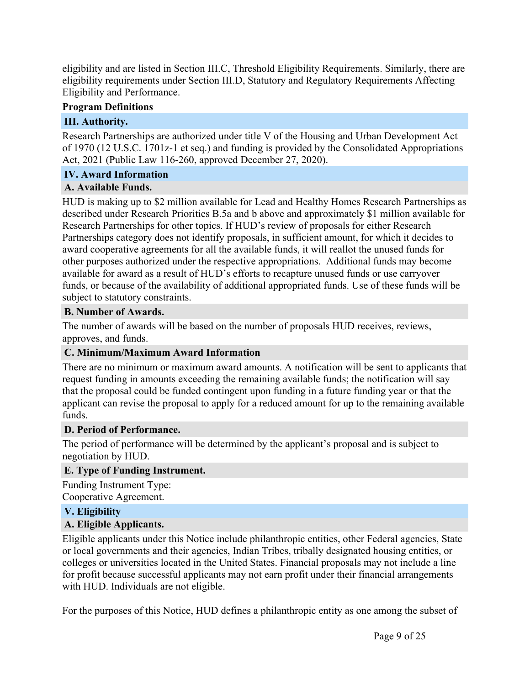eligibility and are listed in Section III.C, Threshold Eligibility Requirements. Similarly, there are eligibility requirements under Section III.D, Statutory and Regulatory Requirements Affecting Eligibility and Performance.

#### **Program Definitions**

# <span id="page-9-0"></span>**III. Authority.**

Research Partnerships are authorized under title V of the Housing and Urban Development Act of 1970 (12 U.S.C. 1701z-1 et seq.) and funding is provided by the Consolidated Appropriations Act, 2021 (Public Law 116-260, approved December 27, 2020).

# <span id="page-9-1"></span>**IV. Award Information**

# <span id="page-9-2"></span>**A. Available Funds.**

HUD is making up to \$2 million available for Lead and Healthy Homes Research Partnerships as described under Research Priorities B.5a and b above and approximately \$1 million available for Research Partnerships for other topics. If HUD's review of proposals for either Research Partnerships category does not identify proposals, in sufficient amount, for which it decides to award cooperative agreements for all the available funds, it will reallot the unused funds for other purposes authorized under the respective appropriations. Additional funds may become available for award as a result of HUD's efforts to recapture unused funds or use carryover funds, or because of the availability of additional appropriated funds. Use of these funds will be subject to statutory constraints.

# <span id="page-9-3"></span>**B. Number of Awards.**

The number of awards will be based on the number of proposals HUD receives, reviews, approves, and funds.

# <span id="page-9-4"></span>**C. Minimum/Maximum Award Information**

There are no minimum or maximum award amounts. A notification will be sent to applicants that request funding in amounts exceeding the remaining available funds; the notification will say that the proposal could be funded contingent upon funding in a future funding year or that the applicant can revise the proposal to apply for a reduced amount for up to the remaining available funds.

# <span id="page-9-5"></span>**D. Period of Performance.**

The period of performance will be determined by the applicant's proposal and is subject to negotiation by HUD.

# <span id="page-9-6"></span>**E. Type of Funding Instrument.**

Funding Instrument Type: Cooperative Agreement.

# <span id="page-9-7"></span>**V. Eligibility**

# <span id="page-9-8"></span>**A. Eligible Applicants.**

Eligible applicants under this Notice include philanthropic entities, other Federal agencies, State or local governments and their agencies, Indian Tribes, tribally designated housing entities, or colleges or universities located in the United States. Financial proposals may not include a line for profit because successful applicants may not earn profit under their financial arrangements with HUD. Individuals are not eligible.

For the purposes of this Notice, HUD defines a philanthropic entity as one among the subset of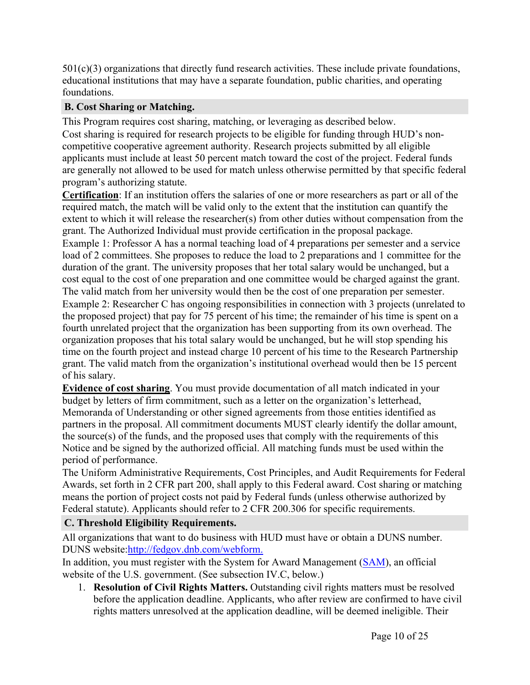501(c)(3) organizations that directly fund research activities. These include private foundations, educational institutions that may have a separate foundation, public charities, and operating foundations.

# <span id="page-10-0"></span>**B. Cost Sharing or Matching.**

This Program requires cost sharing, matching, or leveraging as described below. Cost sharing is required for research projects to be eligible for funding through HUD's noncompetitive cooperative agreement authority. Research projects submitted by all eligible applicants must include at least 50 percent match toward the cost of the project. Federal funds are generally not allowed to be used for match unless otherwise permitted by that specific federal program's authorizing statute.

**Certification**: If an institution offers the salaries of one or more researchers as part or all of the required match, the match will be valid only to the extent that the institution can quantify the extent to which it will release the researcher(s) from other duties without compensation from the grant. The Authorized Individual must provide certification in the proposal package.

Example 1: Professor A has a normal teaching load of 4 preparations per semester and a service load of 2 committees. She proposes to reduce the load to 2 preparations and 1 committee for the duration of the grant. The university proposes that her total salary would be unchanged, but a cost equal to the cost of one preparation and one committee would be charged against the grant. The valid match from her university would then be the cost of one preparation per semester.

Example 2: Researcher C has ongoing responsibilities in connection with 3 projects (unrelated to the proposed project) that pay for 75 percent of his time; the remainder of his time is spent on a fourth unrelated project that the organization has been supporting from its own overhead. The organization proposes that his total salary would be unchanged, but he will stop spending his time on the fourth project and instead charge 10 percent of his time to the Research Partnership grant. The valid match from the organization's institutional overhead would then be 15 percent of his salary.

**Evidence of cost sharing**. You must provide documentation of all match indicated in your budget by letters of firm commitment, such as a letter on the organization's letterhead, Memoranda of Understanding or other signed agreements from those entities identified as partners in the proposal. All commitment documents MUST clearly identify the dollar amount, the source(s) of the funds, and the proposed uses that comply with the requirements of this Notice and be signed by the authorized official. All matching funds must be used within the period of performance.

The Uniform Administrative Requirements, Cost Principles, and Audit Requirements for Federal Awards, set forth in 2 CFR part 200, shall apply to this Federal award. Cost sharing or matching means the portion of project costs not paid by Federal funds (unless otherwise authorized by Federal statute). Applicants should refer to 2 CFR 200.306 for specific requirements.

# <span id="page-10-1"></span>**C. Threshold Eligibility Requirements.**

All organizations that want to do business with HUD must have or obtain a DUNS number. DUNS website:[http://fedgov.dnb.com/webform.](http://fedgov.dnb.com/webform)

In addition, you must register with the System for Award Management [\(SAM](https://www.sam.gov/SAM/)), an official website of the U.S. government. (See subsection IV.C, below.)

1. **Resolution of Civil Rights Matters.** Outstanding civil rights matters must be resolved before the application deadline. Applicants, who after review are confirmed to have civil rights matters unresolved at the application deadline, will be deemed ineligible. Their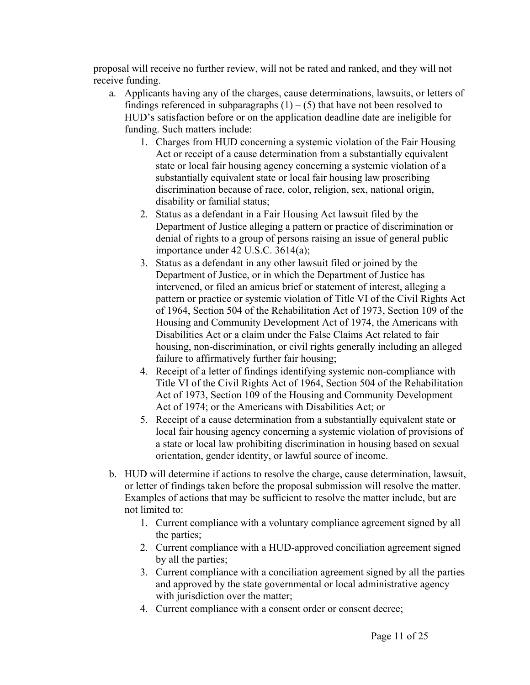proposal will receive no further review, will not be rated and ranked, and they will not receive funding.

- a. Applicants having any of the charges, cause determinations, lawsuits, or letters of findings referenced in subparagraphs  $(1) - (5)$  that have not been resolved to HUD's satisfaction before or on the application deadline date are ineligible for funding. Such matters include:
	- 1. Charges from HUD concerning a systemic violation of the Fair Housing Act or receipt of a cause determination from a substantially equivalent state or local fair housing agency concerning a systemic violation of a substantially equivalent state or local fair housing law proscribing discrimination because of race, color, religion, sex, national origin, disability or familial status;
	- 2. Status as a defendant in a Fair Housing Act lawsuit filed by the Department of Justice alleging a pattern or practice of discrimination or denial of rights to a group of persons raising an issue of general public importance under 42 U.S.C. 3614(a);
	- 3. Status as a defendant in any other lawsuit filed or joined by the Department of Justice, or in which the Department of Justice has intervened, or filed an amicus brief or statement of interest, alleging a pattern or practice or systemic violation of Title VI of the Civil Rights Act of 1964, Section 504 of the Rehabilitation Act of 1973, Section 109 of the Housing and Community Development Act of 1974, the Americans with Disabilities Act or a claim under the False Claims Act related to fair housing, non-discrimination, or civil rights generally including an alleged failure to affirmatively further fair housing;
	- 4. Receipt of a letter of findings identifying systemic non-compliance with Title VI of the Civil Rights Act of 1964, Section 504 of the Rehabilitation Act of 1973, Section 109 of the Housing and Community Development Act of 1974; or the Americans with Disabilities Act; or
	- 5. Receipt of a cause determination from a substantially equivalent state or local fair housing agency concerning a systemic violation of provisions of a state or local law prohibiting discrimination in housing based on sexual orientation, gender identity, or lawful source of income.
- b. HUD will determine if actions to resolve the charge, cause determination, lawsuit, or letter of findings taken before the proposal submission will resolve the matter. Examples of actions that may be sufficient to resolve the matter include, but are not limited to:
	- 1. Current compliance with a voluntary compliance agreement signed by all the parties;
	- 2. Current compliance with a HUD-approved conciliation agreement signed by all the parties;
	- 3. Current compliance with a conciliation agreement signed by all the parties and approved by the state governmental or local administrative agency with jurisdiction over the matter;
	- 4. Current compliance with a consent order or consent decree;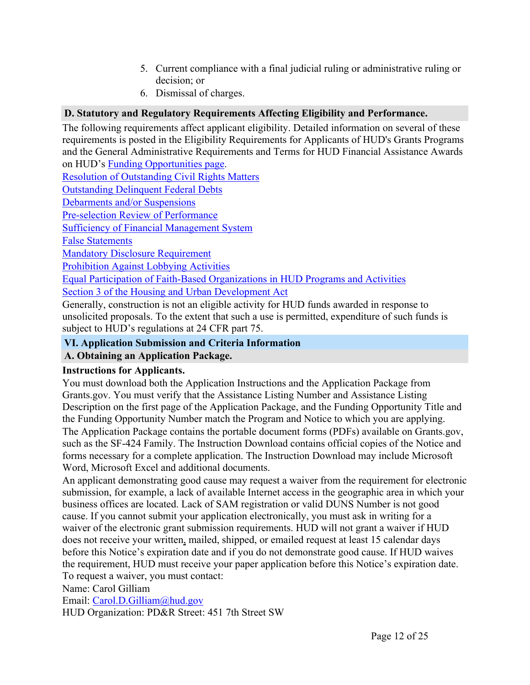- 5. Current compliance with a final judicial ruling or administrative ruling or decision; or
- 6. Dismissal of charges.

# <span id="page-12-0"></span>**D. Statutory and Regulatory Requirements Affecting Eligibility and Performance.**

The following requirements affect applicant eligibility. Detailed information on several of these requirements is posted in the Eligibility Requirements for Applicants of HUD's Grants Programs and the General Administrative Requirements and Terms for HUD Financial Assistance Awards on HUD's Funding [Opportunities](https://www.hud.gov/program_offices/spm/gmomgmt/grantsinfo/fundingopps) page.

Resolution of [Outstanding](https://www.hud.gov/program_offices/spm/gmomgmt/grantsinfo/fundingopps) Civil Rights Matters

[Outstanding](https://www.hud.gov/program_offices/spm/gmomgmt/grantsinfo/fundingopps) Delinquent Federal Debts

Debarments and/or [Suspensions](https://www.hud.gov/program_offices/spm/gmomgmt/grantsinfo/fundingopps)

[Pre-selection](https://www.hud.gov/program_offices/spm/gmomgmt/grantsinfo/fundingopps) Review of Performance

Sufficiency of Financial [Management](https://www.hud.gov/program_offices/spm/gmomgmt/grantsinfo/fundingopps) System

False [Statements](https://www.hud.gov/program_offices/spm/gmomgmt/grantsinfo/fundingopps)

Mandatory Disclosure [Requirement](https://www.hud.gov/program_offices/spm/gmomgmt/grantsinfo/fundingopps)

[Prohibition](https://www.hud.gov/program_offices/spm/gmomgmt/grantsinfo/fundingopps) Against Lobbying Activities

Equal Participation of Faith-Based [Organizations](https://www.hud.gov/program_offices/spm/gmomgmt/grantsinfo/fundingopps) in HUD Programs and Activities

Section 3 of the Housing and Urban [Development](https://www.hud.gov/program_offices/field_policy_mgt/section3) Act

Generally, construction is not an eligible activity for HUD funds awarded in response to unsolicited proposals. To the extent that such a use is permitted, expenditure of such funds is subject to HUD's regulations at 24 CFR part 75.

# <span id="page-12-1"></span>**VI. Application Submission and Criteria Information**

# <span id="page-12-2"></span>**A. Obtaining an Application Package.**

# **Instructions for Applicants.**

You must download both the Application Instructions and the Application Package from Grants.gov. You must verify that the Assistance Listing Number and Assistance Listing Description on the first page of the Application Package, and the Funding Opportunity Title and the Funding Opportunity Number match the Program and Notice to which you are applying. The Application Package contains the portable document forms (PDFs) available on Grants.gov, such as the SF-424 Family. The Instruction Download contains official copies of the Notice and forms necessary for a complete application. The Instruction Download may include Microsoft Word, Microsoft Excel and additional documents.

An applicant demonstrating good cause may request a waiver from the requirement for electronic submission, for example, a lack of available Internet access in the geographic area in which your business offices are located. Lack of SAM registration or valid DUNS Number is not good cause. If you cannot submit your application electronically, you must ask in writing for a waiver of the electronic grant submission requirements. HUD will not grant a waiver if HUD does not receive your written, mailed, shipped, or emailed request at least 15 calendar days before this Notice's expiration date and if you do not demonstrate good cause. If HUD waives the requirement, HUD must receive your paper application before this Notice's expiration date. To request a waiver, you must contact:

Name: Carol Gilliam

Email: [Carol.D.Gilliam@hud.gov](mailto:Carol.D.Gilliam@hud.gov)

HUD Organization: PD&R Street: 451 7th Street SW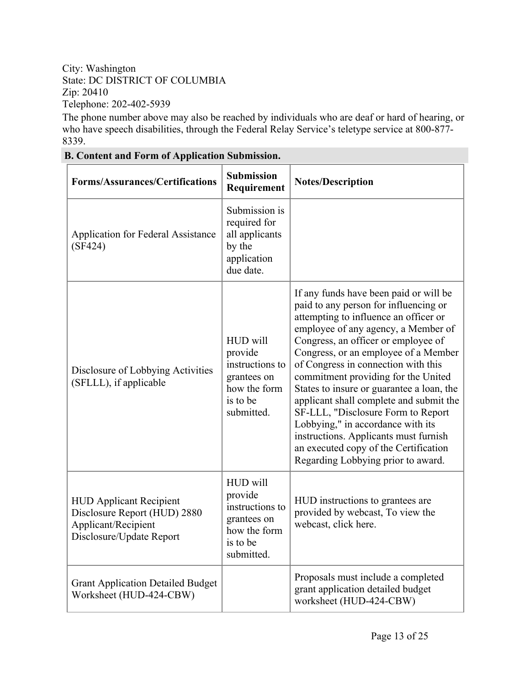#### City: Washington State: DC DISTRICT OF COLUMBIA Zip: 20410 Telephone: 202-402-5939

The phone number above may also be reached by individuals who are deaf or hard of hearing, or who have speech disabilities, through the Federal Relay Service's teletype service at 800-877- 8339.

| <b>Forms/Assurances/Certifications</b>                                                                            | <b>Submission</b><br>Requirement                                                                | <b>Notes/Description</b>                                                                                                                                                                                                                                                                                                                                                                                                                                                                                                                                                                                                |
|-------------------------------------------------------------------------------------------------------------------|-------------------------------------------------------------------------------------------------|-------------------------------------------------------------------------------------------------------------------------------------------------------------------------------------------------------------------------------------------------------------------------------------------------------------------------------------------------------------------------------------------------------------------------------------------------------------------------------------------------------------------------------------------------------------------------------------------------------------------------|
| <b>Application for Federal Assistance</b><br>(SF424)                                                              | Submission is<br>required for<br>all applicants<br>by the<br>application<br>due date.           |                                                                                                                                                                                                                                                                                                                                                                                                                                                                                                                                                                                                                         |
| Disclosure of Lobbying Activities<br>(SFLLL), if applicable                                                       | HUD will<br>provide<br>instructions to<br>grantees on<br>how the form<br>is to be<br>submitted. | If any funds have been paid or will be<br>paid to any person for influencing or<br>attempting to influence an officer or<br>employee of any agency, a Member of<br>Congress, an officer or employee of<br>Congress, or an employee of a Member<br>of Congress in connection with this<br>commitment providing for the United<br>States to insure or guarantee a loan, the<br>applicant shall complete and submit the<br>SF-LLL, "Disclosure Form to Report<br>Lobbying," in accordance with its<br>instructions. Applicants must furnish<br>an executed copy of the Certification<br>Regarding Lobbying prior to award. |
| <b>HUD Applicant Recipient</b><br>Disclosure Report (HUD) 2880<br>Applicant/Recipient<br>Disclosure/Update Report | HUD will<br>provide<br>instructions to<br>grantees on<br>how the form<br>is to be<br>submitted. | HUD instructions to grantees are<br>provided by webcast, To view the<br>webcast, click here.                                                                                                                                                                                                                                                                                                                                                                                                                                                                                                                            |
| <b>Grant Application Detailed Budget</b><br>Worksheet (HUD-424-CBW)                                               |                                                                                                 | Proposals must include a completed<br>grant application detailed budget<br>worksheet (HUD-424-CBW)                                                                                                                                                                                                                                                                                                                                                                                                                                                                                                                      |

#### <span id="page-13-0"></span>**B. Content and Form of Application Submission.**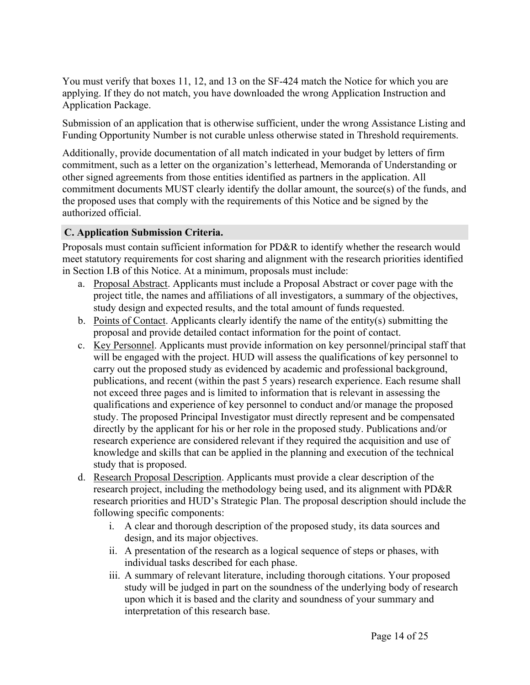You must verify that boxes 11, 12, and 13 on the SF-424 match the Notice for which you are applying. If they do not match, you have downloaded the wrong Application Instruction and Application Package.

Submission of an application that is otherwise sufficient, under the wrong Assistance Listing and Funding Opportunity Number is not curable unless otherwise stated in Threshold requirements.

Additionally, provide documentation of all match indicated in your budget by letters of firm commitment, such as a letter on the organization's letterhead, Memoranda of Understanding or other signed agreements from those entities identified as partners in the application. All commitment documents MUST clearly identify the dollar amount, the source(s) of the funds, and the proposed uses that comply with the requirements of this Notice and be signed by the authorized official.

### <span id="page-14-0"></span>**C. Application Submission Criteria.**

Proposals must contain sufficient information for PD&R to identify whether the research would meet statutory requirements for cost sharing and alignment with the research priorities identified in Section I.B of this Notice. At a minimum, proposals must include:

- a. Proposal Abstract. Applicants must include a Proposal Abstract or cover page with the project title, the names and affiliations of all investigators, a summary of the objectives, study design and expected results, and the total amount of funds requested.
- b. Points of Contact. Applicants clearly identify the name of the entity(s) submitting the proposal and provide detailed contact information for the point of contact.
- c. Key Personnel. Applicants must provide information on key personnel/principal staff that will be engaged with the project. HUD will assess the qualifications of key personnel to carry out the proposed study as evidenced by academic and professional background, publications, and recent (within the past 5 years) research experience. Each resume shall not exceed three pages and is limited to information that is relevant in assessing the qualifications and experience of key personnel to conduct and/or manage the proposed study. The proposed Principal Investigator must directly represent and be compensated directly by the applicant for his or her role in the proposed study. Publications and/or research experience are considered relevant if they required the acquisition and use of knowledge and skills that can be applied in the planning and execution of the technical study that is proposed.
- d. Research Proposal Description. Applicants must provide a clear description of the research project, including the methodology being used, and its alignment with PD&R research priorities and HUD's Strategic Plan. The proposal description should include the following specific components:
	- i. A clear and thorough description of the proposed study, its data sources and design, and its major objectives.
	- ii. A presentation of the research as a logical sequence of steps or phases, with individual tasks described for each phase.
	- iii. A summary of relevant literature, including thorough citations. Your proposed study will be judged in part on the soundness of the underlying body of research upon which it is based and the clarity and soundness of your summary and interpretation of this research base.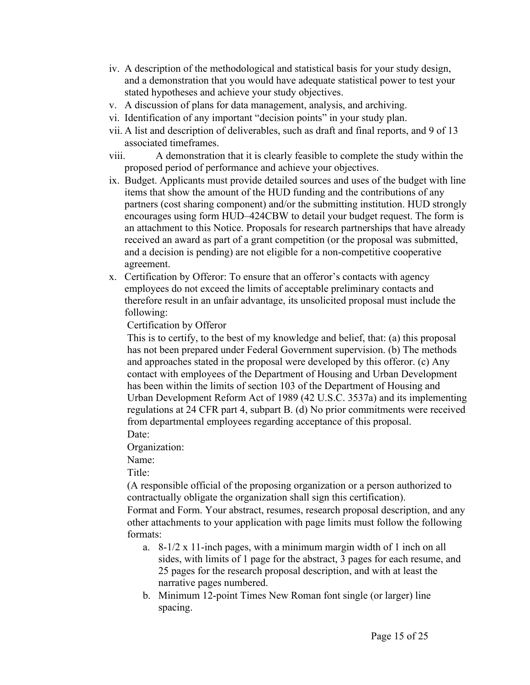- iv. A description of the methodological and statistical basis for your study design, and a demonstration that you would have adequate statistical power to test your stated hypotheses and achieve your study objectives.
- v. A discussion of plans for data management, analysis, and archiving.
- vi. Identification of any important "decision points" in your study plan.
- vii. A list and description of deliverables, such as draft and final reports, and 9 of 13 associated timeframes.
- viii. A demonstration that it is clearly feasible to complete the study within the proposed period of performance and achieve your objectives.
- ix. Budget. Applicants must provide detailed sources and uses of the budget with line items that show the amount of the HUD funding and the contributions of any partners (cost sharing component) and/or the submitting institution. HUD strongly encourages using form HUD–424CBW to detail your budget request. The form is an attachment to this Notice. Proposals for research partnerships that have already received an award as part of a grant competition (or the proposal was submitted, and a decision is pending) are not eligible for a non-competitive cooperative agreement.
- x. Certification by Offeror: To ensure that an offeror's contacts with agency employees do not exceed the limits of acceptable preliminary contacts and therefore result in an unfair advantage, its unsolicited proposal must include the following:

Certification by Offeror

This is to certify, to the best of my knowledge and belief, that: (a) this proposal has not been prepared under Federal Government supervision. (b) The methods and approaches stated in the proposal were developed by this offeror. (c) Any contact with employees of the Department of Housing and Urban Development has been within the limits of section 103 of the Department of Housing and Urban Development Reform Act of 1989 (42 U.S.C. 3537a) and its implementing regulations at 24 CFR part 4, subpart B. (d) No prior commitments were received from departmental employees regarding acceptance of this proposal.

Date:

Organization:

Name:

Title<sup>-</sup>

(A responsible official of the proposing organization or a person authorized to contractually obligate the organization shall sign this certification).

Format and Form. Your abstract, resumes, research proposal description, and any other attachments to your application with page limits must follow the following formats:

- a. 8-1/2 x 11-inch pages, with a minimum margin width of 1 inch on all sides, with limits of 1 page for the abstract, 3 pages for each resume, and 25 pages for the research proposal description, and with at least the narrative pages numbered.
- b. Minimum 12-point Times New Roman font single (or larger) line spacing.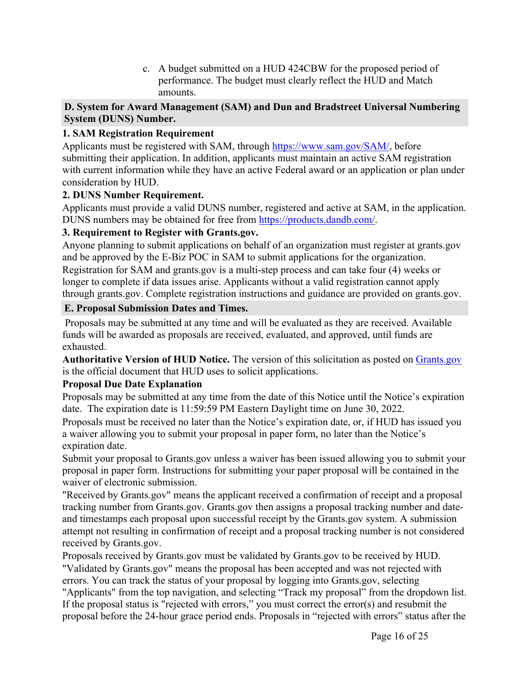c. A budget submitted on a HUD 424CBW for the proposed period of performance. The budget must clearly reflect the HUD and Match amounts.

### <span id="page-16-0"></span>**D. System for Award Management (SAM) and Dun and Bradstreet Universal Numbering System (DUNS) Number.**

# **1. SAM Registration Requirement**

Applicants must be registered with SAM, through [https://www.sam.gov/SAM/,](https://www.sam.gov/SAM/) before submitting their application. In addition, applicants must maintain an active SAM registration with current information while they have an active Federal award or an application or plan under consideration by HUD.

# **2. DUNS Number Requirement.**

Applicants must provide a valid DUNS number, registered and active at SAM, in the application. DUNS numbers may be obtained for free from <https://products.dandb.com/>.

# **3. Requirement to Register with Grants.gov.**

Anyone planning to submit applications on behalf of an organization must register at grants.gov and be approved by the E-Biz POC in SAM to submit applications for the organization. Registration for SAM and grants.gov is a multi-step process and can take four (4) weeks or longer to complete if data issues arise. Applicants without a valid registration cannot apply through grants.gov. Complete registration instructions and guidance are provided on grants.gov.

# <span id="page-16-1"></span>**E. Proposal Submission Dates and Times.**

Proposals may be submitted at any time and will be evaluated as they are received. Available funds will be awarded as proposals are received, evaluated, and approved, until funds are exhausted.

**Authoritative Version of HUD Notice.** The version of this solicitation as posted on [Grants.gov](http://Grants.gov/) is the official document that HUD uses to solicit applications.

# **Proposal Due Date Explanation**

Proposals may be submitted at any time from the date of this Notice until the Notice's expiration date. The expiration date is 11:59:59 PM Eastern Daylight time on June 30, 2022.

Proposals must be received no later than the Notice's expiration date, or, if HUD has issued you a waiver allowing you to submit your proposal in paper form, no later than the Notice's expiration date.

Submit your proposal to Grants.gov unless a waiver has been issued allowing you to submit your proposal in paper form. Instructions for submitting your paper proposal will be contained in the waiver of electronic submission.

"Received by Grants.gov" means the applicant received a confirmation of receipt and a proposal tracking number from Grants.gov. Grants.gov then assigns a proposal tracking number and dateand timestamps each proposal upon successful receipt by the Grants.gov system. A submission attempt not resulting in confirmation of receipt and a proposal tracking number is not considered received by Grants.gov.

Proposals received by Grants.gov must be validated by Grants.gov to be received by HUD. "Validated by Grants.gov" means the proposal has been accepted and was not rejected with errors. You can track the status of your proposal by logging into Grants.gov, selecting "Applicants" from the top navigation, and selecting "Track my proposal" from the dropdown list. If the proposal status is "rejected with errors," you must correct the error(s) and resubmit the proposal before the 24-hour grace period ends. Proposals in "rejected with errors" status after the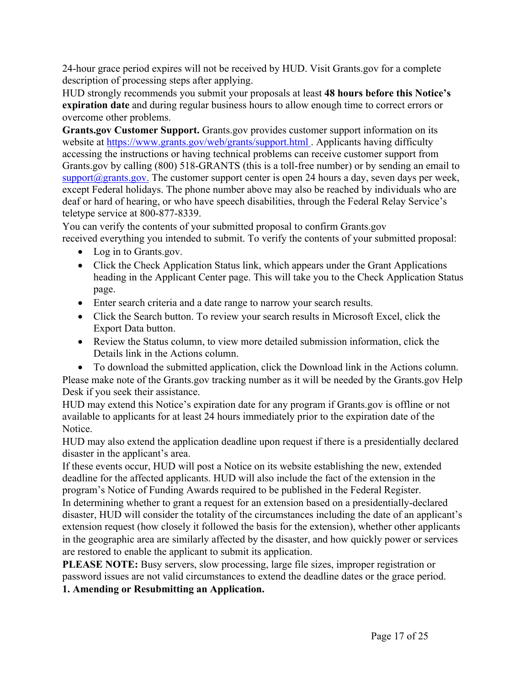24-hour grace period expires will not be received by HUD. Visit Grants.gov for a complete description of processing steps after applying.

HUD strongly recommends you submit your proposals at least **48 hours before this Notice's expiration date** and during regular business hours to allow enough time to correct errors or overcome other problems.

**Grants.gov Customer Support.** Grants.gov provides customer support information on its website at <https://www.grants.gov/web/grants/support.html> . Applicants having difficulty accessing the instructions or having technical problems can receive customer support from Grants.gov by calling (800) 518-GRANTS (this is a toll-free number) or by sending an email to  $support(\partial)$ grants.gov. The customer support center is open 24 hours a day, seven days per week, except Federal holidays. The phone number above may also be reached by individuals who are deaf or hard of hearing, or who have speech disabilities, through the Federal Relay Service's teletype service at 800-877-8339.

You can verify the contents of your submitted proposal to confirm Grants.gov received everything you intended to submit. To verify the contents of your submitted proposal:

- Log in to Grants.gov.
- Click the Check Application Status link, which appears under the Grant Applications heading in the Applicant Center page. This will take you to the Check Application Status page.
- Enter search criteria and a date range to narrow your search results.
- Click the Search button. To review your search results in Microsoft Excel, click the Export Data button.
- Review the Status column, to view more detailed submission information, click the Details link in the Actions column.
- To download the submitted application, click the Download link in the Actions column.

Please make note of the Grants.gov tracking number as it will be needed by the Grants.gov Help Desk if you seek their assistance.

HUD may extend this Notice's expiration date for any program if Grants.gov is offline or not available to applicants for at least 24 hours immediately prior to the expiration date of the Notice.

HUD may also extend the application deadline upon request if there is a presidentially declared disaster in the applicant's area.

If these events occur, HUD will post a Notice on its website establishing the new, extended deadline for the affected applicants. HUD will also include the fact of the extension in the program's Notice of Funding Awards required to be published in the Federal Register.

In determining whether to grant a request for an extension based on a presidentially-declared disaster, HUD will consider the totality of the circumstances including the date of an applicant's extension request (how closely it followed the basis for the extension), whether other applicants in the geographic area are similarly affected by the disaster, and how quickly power or services are restored to enable the applicant to submit its application.

**PLEASE NOTE:** Busy servers, slow processing, large file sizes, improper registration or password issues are not valid circumstances to extend the deadline dates or the grace period.

**1. Amending or Resubmitting an Application.**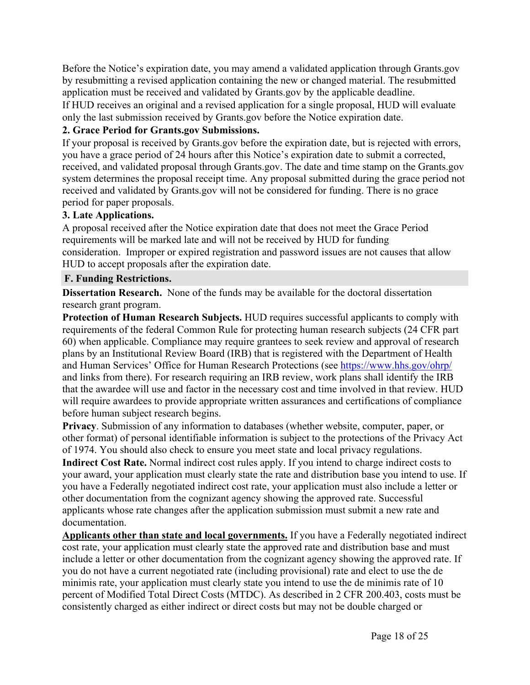Before the Notice's expiration date, you may amend a validated application through Grants.gov by resubmitting a revised application containing the new or changed material. The resubmitted application must be received and validated by Grants.gov by the applicable deadline.

If HUD receives an original and a revised application for a single proposal, HUD will evaluate only the last submission received by Grants.gov before the Notice expiration date.

# **2. Grace Period for Grants.gov Submissions.**

If your proposal is received by Grants.gov before the expiration date, but is rejected with errors, you have a grace period of 24 hours after this Notice's expiration date to submit a corrected, received, and validated proposal through Grants.gov. The date and time stamp on the Grants.gov system determines the proposal receipt time. Any proposal submitted during the grace period not received and validated by Grants.gov will not be considered for funding. There is no grace period for paper proposals.

#### **3. Late Applications.**

A proposal received after the Notice expiration date that does not meet the Grace Period requirements will be marked late and will not be received by HUD for funding consideration. Improper or expired registration and password issues are not causes that allow HUD to accept proposals after the expiration date.

#### <span id="page-18-0"></span>**F. Funding Restrictions.**

**Dissertation Research.** None of the funds may be available for the doctoral dissertation research grant program.

**Protection of Human Research Subjects.** HUD requires successful applicants to comply with requirements of the federal Common Rule for protecting human research subjects (24 CFR part 60) when applicable. Compliance may require grantees to seek review and approval of research plans by an Institutional Review Board (IRB) that is registered with the Department of Health and Human Services' Office for Human Research Protections (see [https://www.hhs.gov/ohrp/](https://www.hhs.gov/ohrp/%20) and links from there). For research requiring an IRB review, work plans shall identify the IRB that the awardee will use and factor in the necessary cost and time involved in that review. HUD will require awardees to provide appropriate written assurances and certifications of compliance before human subject research begins.

**Privacy**. Submission of any information to databases (whether website, computer, paper, or other format) of personal identifiable information is subject to the protections of the Privacy Act of 1974. You should also check to ensure you meet state and local privacy regulations.

**Indirect Cost Rate.** Normal indirect cost rules apply. If you intend to charge indirect costs to your award, your application must clearly state the rate and distribution base you intend to use. If you have a Federally negotiated indirect cost rate, your application must also include a letter or other documentation from the cognizant agency showing the approved rate. Successful applicants whose rate changes after the application submission must submit a new rate and documentation.

**Applicants other than state and local governments.** If you have a Federally negotiated indirect cost rate, your application must clearly state the approved rate and distribution base and must include a letter or other documentation from the cognizant agency showing the approved rate. If you do not have a current negotiated rate (including provisional) rate and elect to use the de minimis rate, your application must clearly state you intend to use the de minimis rate of 10 percent of Modified Total Direct Costs (MTDC). As described in 2 CFR 200.403, costs must be consistently charged as either indirect or direct costs but may not be double charged or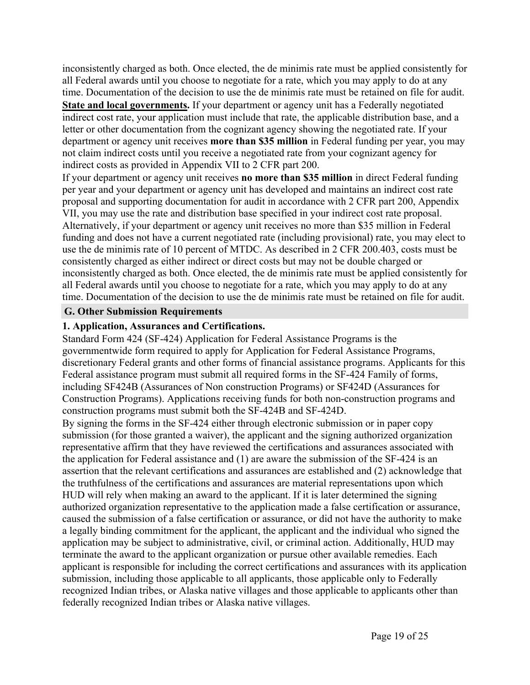inconsistently charged as both. Once elected, the de minimis rate must be applied consistently for all Federal awards until you choose to negotiate for a rate, which you may apply to do at any time. Documentation of the decision to use the de minimis rate must be retained on file for audit. **State and local governments.** If your department or agency unit has a Federally negotiated indirect cost rate, your application must include that rate, the applicable distribution base, and a letter or other documentation from the cognizant agency showing the negotiated rate. If your department or agency unit receives **more than \$35 million** in Federal funding per year, you may not claim indirect costs until you receive a negotiated rate from your cognizant agency for indirect costs as provided in Appendix VII to 2 CFR part 200.

If your department or agency unit receives **no more than \$35 million** in direct Federal funding per year and your department or agency unit has developed and maintains an indirect cost rate proposal and supporting documentation for audit in accordance with 2 CFR part 200, Appendix VII, you may use the rate and distribution base specified in your indirect cost rate proposal. Alternatively, if your department or agency unit receives no more than \$35 million in Federal funding and does not have a current negotiated rate (including provisional) rate, you may elect to use the de minimis rate of 10 percent of MTDC. As described in 2 CFR 200.403, costs must be consistently charged as either indirect or direct costs but may not be double charged or inconsistently charged as both. Once elected, the de minimis rate must be applied consistently for all Federal awards until you choose to negotiate for a rate, which you may apply to do at any time. Documentation of the decision to use the de minimis rate must be retained on file for audit.

#### <span id="page-19-0"></span>**G. Other Submission Requirements**

#### **1. Application, Assurances and Certifications.**

Standard Form 424 (SF-424) Application for Federal Assistance Programs is the governmentwide form required to apply for Application for Federal Assistance Programs, discretionary Federal grants and other forms of financial assistance programs. Applicants for this Federal assistance program must submit all required forms in the SF-424 Family of forms, including SF424B (Assurances of Non construction Programs) or SF424D (Assurances for Construction Programs). Applications receiving funds for both non-construction programs and construction programs must submit both the SF-424B and SF-424D.

By signing the forms in the SF-424 either through electronic submission or in paper copy submission (for those granted a waiver), the applicant and the signing authorized organization representative affirm that they have reviewed the certifications and assurances associated with the application for Federal assistance and (1) are aware the submission of the SF-424 is an assertion that the relevant certifications and assurances are established and (2) acknowledge that the truthfulness of the certifications and assurances are material representations upon which HUD will rely when making an award to the applicant. If it is later determined the signing authorized organization representative to the application made a false certification or assurance, caused the submission of a false certification or assurance, or did not have the authority to make a legally binding commitment for the applicant, the applicant and the individual who signed the application may be subject to administrative, civil, or criminal action. Additionally, HUD may terminate the award to the applicant organization or pursue other available remedies. Each applicant is responsible for including the correct certifications and assurances with its application submission, including those applicable to all applicants, those applicable only to Federally recognized Indian tribes, or Alaska native villages and those applicable to applicants other than federally recognized Indian tribes or Alaska native villages.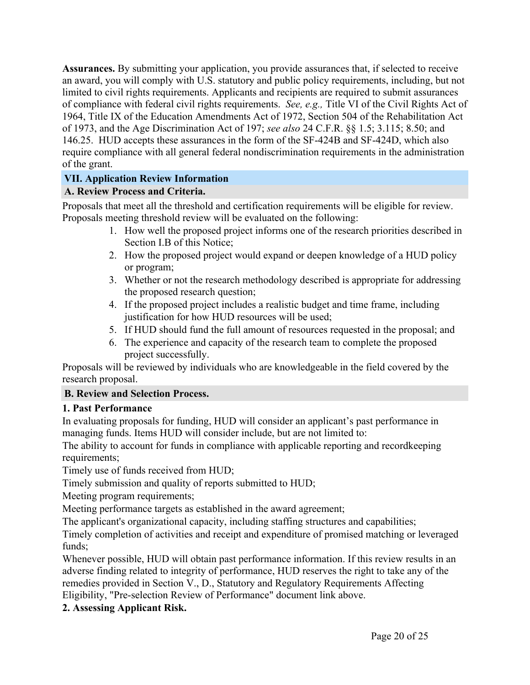**Assurances.** By submitting your application, you provide assurances that, if selected to receive an award, you will comply with U.S. statutory and public policy requirements, including, but not limited to civil rights requirements. Applicants and recipients are required to submit assurances of compliance with federal civil rights requirements. *See, e.g.,* Title VI of the Civil Rights Act of 1964, Title IX of the Education Amendments Act of 1972, Section 504 of the Rehabilitation Act of 1973, and the Age Discrimination Act of 197; *see also* 24 C.F.R. §§ 1.5; 3.115; 8.50; and 146.25. HUD accepts these assurances in the form of the SF-424B and SF-424D, which also require compliance with all general federal nondiscrimination requirements in the administration of the grant.

# <span id="page-20-0"></span>**VII. Application Review Information**

# <span id="page-20-1"></span>**A. Review Process and Criteria.**

Proposals that meet all the threshold and certification requirements will be eligible for review. Proposals meeting threshold review will be evaluated on the following:

- 1. How well the proposed project informs one of the research priorities described in Section I.B of this Notice;
- 2. How the proposed project would expand or deepen knowledge of a HUD policy or program;
- 3. Whether or not the research methodology described is appropriate for addressing the proposed research question;
- 4. If the proposed project includes a realistic budget and time frame, including justification for how HUD resources will be used;
- 5. If HUD should fund the full amount of resources requested in the proposal; and
- 6. The experience and capacity of the research team to complete the proposed project successfully.

Proposals will be reviewed by individuals who are knowledgeable in the field covered by the research proposal.

# <span id="page-20-2"></span>**B. Review and Selection Process.**

# **1. Past Performance**

In evaluating proposals for funding, HUD will consider an applicant's past performance in managing funds. Items HUD will consider include, but are not limited to:

The ability to account for funds in compliance with applicable reporting and recordkeeping requirements;

Timely use of funds received from HUD;

Timely submission and quality of reports submitted to HUD;

Meeting program requirements;

Meeting performance targets as established in the award agreement;

The applicant's organizational capacity, including staffing structures and capabilities;

Timely completion of activities and receipt and expenditure of promised matching or leveraged funds;

Whenever possible, HUD will obtain past performance information. If this review results in an adverse finding related to integrity of performance, HUD reserves the right to take any of the remedies provided in Section V., D., Statutory and Regulatory Requirements Affecting Eligibility, "Pre-selection Review of Performance" document link above.

# **2. Assessing Applicant Risk.**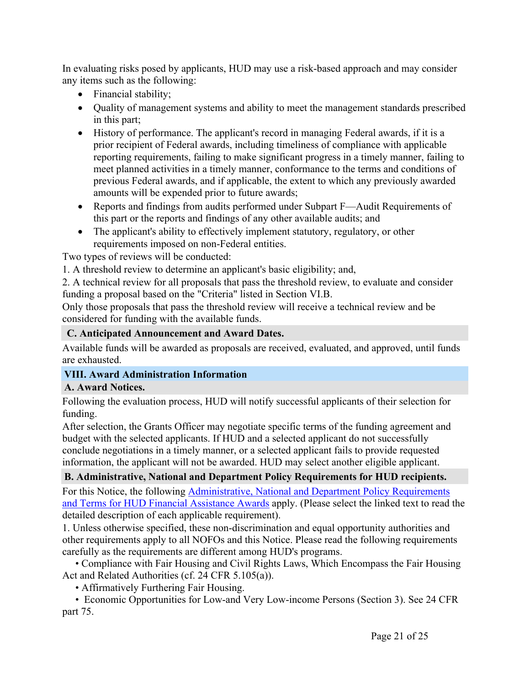In evaluating risks posed by applicants, HUD may use a risk-based approach and may consider any items such as the following:

- Financial stability;
- Quality of management systems and ability to meet the management standards prescribed in this part;
- History of performance. The applicant's record in managing Federal awards, if it is a prior recipient of Federal awards, including timeliness of compliance with applicable reporting requirements, failing to make significant progress in a timely manner, failing to meet planned activities in a timely manner, conformance to the terms and conditions of previous Federal awards, and if applicable, the extent to which any previously awarded amounts will be expended prior to future awards;
- Reports and findings from audits performed under Subpart F—Audit Requirements of this part or the reports and findings of any other available audits; and
- The applicant's ability to effectively implement statutory, regulatory, or other requirements imposed on non-Federal entities.

Two types of reviews will be conducted:

1. A threshold review to determine an applicant's basic eligibility; and,

2. A technical review for all proposals that pass the threshold review, to evaluate and consider funding a proposal based on the "Criteria" listed in Section VI.B.

Only those proposals that pass the threshold review will receive a technical review and be considered for funding with the available funds.

# <span id="page-21-0"></span>**C. Anticipated Announcement and Award Dates.**

Available funds will be awarded as proposals are received, evaluated, and approved, until funds are exhausted.

# <span id="page-21-1"></span>**VIII. Award Administration Information**

# <span id="page-21-2"></span>**A. Award Notices.**

Following the evaluation process, HUD will notify successful applicants of their selection for funding.

After selection, the Grants Officer may negotiate specific terms of the funding agreement and budget with the selected applicants. If HUD and a selected applicant do not successfully conclude negotiations in a timely manner, or a selected applicant fails to provide requested information, the applicant will not be awarded. HUD may select another eligible applicant.

# <span id="page-21-3"></span>**B. Administrative, National and Department Policy Requirements for HUD recipients.**

For this Notice, the following [Administrative,](https://www.hud.gov/sites/dfiles/CFO/images/General%20Administration%20Requirements%20and%20Terms%20for%20HUD%20Assistance%20Awards.docx) National and Department Policy Requirements and Terms for HUD Financial [Assistance](https://www.hud.gov/sites/dfiles/CFO/images/General%20Administration%20Requirements%20and%20Terms%20for%20HUD%20Assistance%20Awards.docx) Awards apply. (Please select the linked text to read the detailed description of each applicable requirement).

1. Unless otherwise specified, these non-discrimination and equal opportunity authorities and other requirements apply to all NOFOs and this Notice. Please read the following requirements carefully as the requirements are different among HUD's programs.

• Compliance with Fair Housing and Civil Rights Laws, Which Encompass the Fair Housing Act and Related Authorities (cf. 24 CFR 5.105(a)).

• Affirmatively Furthering Fair Housing.

• Economic Opportunities for Low-and Very Low-income Persons (Section 3). See 24 CFR part 75.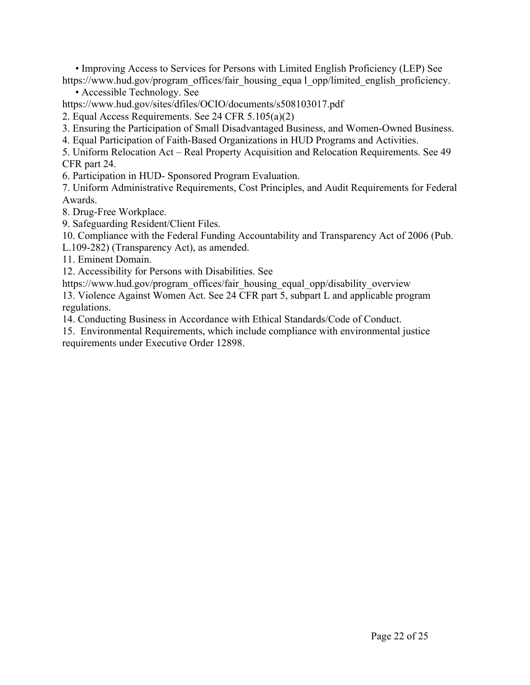• Improving Access to Services for Persons with Limited English Proficiency (LEP) See https://www.hud.gov/program\_offices/fair\_housing\_equa l\_opp/limited\_english\_proficiency.

• Accessible Technology. See

https://www.hud.gov/sites/dfiles/OCIO/documents/s508103017.pdf

2. Equal Access Requirements. See 24 CFR 5.105(a)(2)

3. Ensuring the Participation of Small Disadvantaged Business, and Women-Owned Business.

4. Equal Participation of Faith-Based Organizations in HUD Programs and Activities.

5. Uniform Relocation Act – Real Property Acquisition and Relocation Requirements. See 49 CFR part 24.

6. Participation in HUD- Sponsored Program Evaluation.

7. Uniform Administrative Requirements, Cost Principles, and Audit Requirements for Federal Awards.

8. Drug-Free Workplace.

9. Safeguarding Resident/Client Files.

10. Compliance with the Federal Funding Accountability and Transparency Act of 2006 (Pub. L.109-282) (Transparency Act), as amended.

11. Eminent Domain.

12. Accessibility for Persons with Disabilities. See

https://www.hud.gov/program\_offices/fair\_housing\_equal\_opp/disability\_overview

13. Violence Against Women Act. See 24 CFR part 5, subpart L and applicable program regulations.

14. Conducting Business in Accordance with Ethical Standards/Code of Conduct.

15. Environmental Requirements, which include compliance with environmental justice requirements under Executive Order 12898.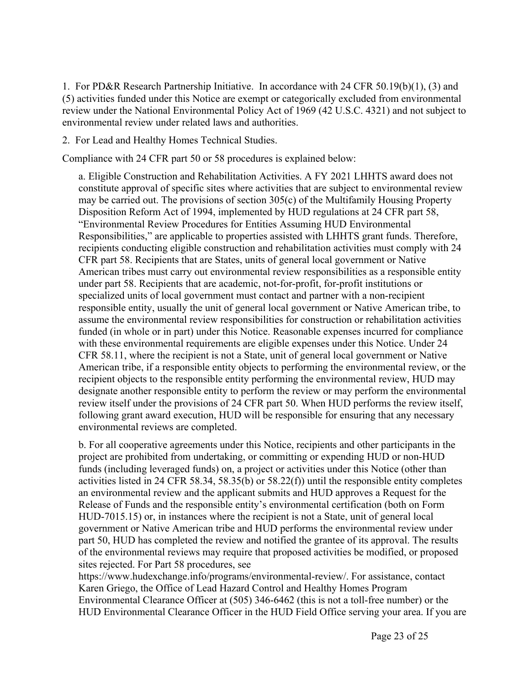1. For PD&R Research Partnership Initiative. In accordance with 24 CFR 50.19(b)(1), (3) and (5) activities funded under this Notice are exempt or categorically excluded from environmental review under the National Environmental Policy Act of 1969 (42 U.S.C. 4321) and not subject to environmental review under related laws and authorities.

2. For Lead and Healthy Homes Technical Studies.

Compliance with 24 CFR part 50 or 58 procedures is explained below:

a. Eligible Construction and Rehabilitation Activities. A FY 2021 LHHTS award does not constitute approval of specific sites where activities that are subject to environmental review may be carried out. The provisions of section 305(c) of the Multifamily Housing Property Disposition Reform Act of 1994, implemented by HUD regulations at 24 CFR part 58, "Environmental Review Procedures for Entities Assuming HUD Environmental Responsibilities," are applicable to properties assisted with LHHTS grant funds. Therefore, recipients conducting eligible construction and rehabilitation activities must comply with 24 CFR part 58. Recipients that are States, units of general local government or Native American tribes must carry out environmental review responsibilities as a responsible entity under part 58. Recipients that are academic, not-for-profit, for-profit institutions or specialized units of local government must contact and partner with a non-recipient responsible entity, usually the unit of general local government or Native American tribe, to assume the environmental review responsibilities for construction or rehabilitation activities funded (in whole or in part) under this Notice. Reasonable expenses incurred for compliance with these environmental requirements are eligible expenses under this Notice. Under 24 CFR 58.11, where the recipient is not a State, unit of general local government or Native American tribe, if a responsible entity objects to performing the environmental review, or the recipient objects to the responsible entity performing the environmental review, HUD may designate another responsible entity to perform the review or may perform the environmental review itself under the provisions of 24 CFR part 50. When HUD performs the review itself, following grant award execution, HUD will be responsible for ensuring that any necessary environmental reviews are completed.

b. For all cooperative agreements under this Notice, recipients and other participants in the project are prohibited from undertaking, or committing or expending HUD or non-HUD funds (including leveraged funds) on, a project or activities under this Notice (other than activities listed in 24 CFR 58.34, 58.35(b) or 58.22(f)) until the responsible entity completes an environmental review and the applicant submits and HUD approves a Request for the Release of Funds and the responsible entity's environmental certification (both on Form HUD-7015.15) or, in instances where the recipient is not a State, unit of general local government or Native American tribe and HUD performs the environmental review under part 50, HUD has completed the review and notified the grantee of its approval. The results of the environmental reviews may require that proposed activities be modified, or proposed sites rejected. For Part 58 procedures, see

https://www.hudexchange.info/programs/environmental-review/. For assistance, contact Karen Griego, the Office of Lead Hazard Control and Healthy Homes Program Environmental Clearance Officer at (505) 346-6462 (this is not a toll-free number) or the HUD Environmental Clearance Officer in the HUD Field Office serving your area. If you are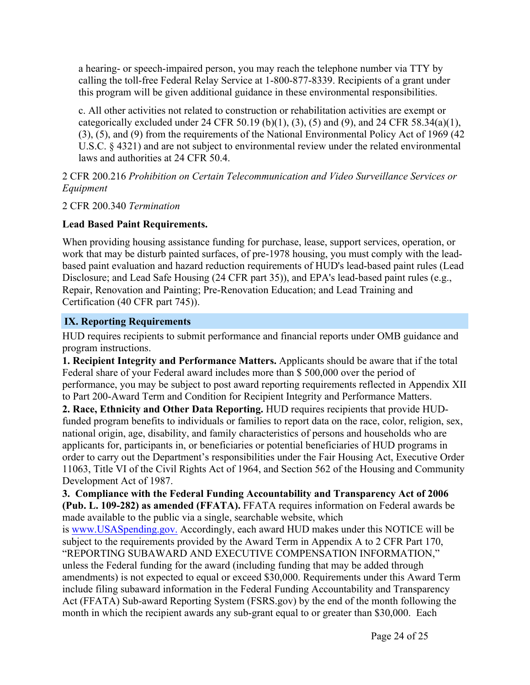a hearing- or speech-impaired person, you may reach the telephone number via TTY by calling the toll-free Federal Relay Service at 1-800-877-8339. Recipients of a grant under this program will be given additional guidance in these environmental responsibilities.

c. All other activities not related to construction or rehabilitation activities are exempt or categorically excluded under 24 CFR 50.19 (b)(1), (3), (5) and (9), and 24 CFR 58.34(a)(1), (3), (5), and (9) from the requirements of the National Environmental Policy Act of 1969 (42 U.S.C. § 4321) and are not subject to environmental review under the related environmental laws and authorities at 24 CFR 50.4.

2 CFR 200.216 *Prohibition on Certain Telecommunication and Video Surveillance Services or Equipment*

2 CFR 200.340 *Termination*

# **Lead Based Paint Requirements.**

When providing housing assistance funding for purchase, lease, support services, operation, or work that may be disturb painted surfaces, of pre-1978 housing, you must comply with the leadbased paint evaluation and hazard reduction requirements of HUD's lead-based paint rules (Lead Disclosure; and Lead Safe Housing (24 CFR part 35)), and EPA's lead-based paint rules (e.g., Repair, Renovation and Painting; Pre-Renovation Education; and Lead Training and Certification (40 CFR part 745)).

# <span id="page-24-0"></span>**IX. Reporting Requirements**

HUD requires recipients to submit performance and financial reports under OMB guidance and program instructions.

**1. Recipient Integrity and Performance Matters.** Applicants should be aware that if the total Federal share of your Federal award includes more than \$ 500,000 over the period of performance, you may be subject to post award reporting requirements reflected in Appendix XII to Part 200-Award Term and Condition for Recipient Integrity and Performance Matters.

**2. Race, Ethnicity and Other Data Reporting.** HUD requires recipients that provide HUDfunded program benefits to individuals or families to report data on the race, color, religion, sex, national origin, age, disability, and family characteristics of persons and households who are applicants for, participants in, or beneficiaries or potential beneficiaries of HUD programs in order to carry out the Department's responsibilities under the Fair Housing Act, Executive Order 11063, Title VI of the Civil Rights Act of 1964, and Section 562 of the Housing and Community Development Act of 1987.

**3. Compliance with the Federal Funding Accountability and Transparency Act of 2006 (Pub. L. 109-282) as amended (FFATA).** FFATA requires information on Federal awards be made available to the public via a single, searchable website, which

is [www.USASpending.gov.](http://www.USASpending.gov/) Accordingly, each award HUD makes under this NOTICE will be subject to the requirements provided by the Award Term in Appendix A to 2 CFR Part 170, "REPORTING SUBAWARD AND EXECUTIVE COMPENSATION INFORMATION," unless the Federal funding for the award (including funding that may be added through amendments) is not expected to equal or exceed \$30,000. Requirements under this Award Term include filing subaward information in the Federal Funding Accountability and Transparency Act (FFATA) Sub-award Reporting System (FSRS.gov) by the end of the month following the month in which the recipient awards any sub-grant equal to or greater than \$30,000. Each